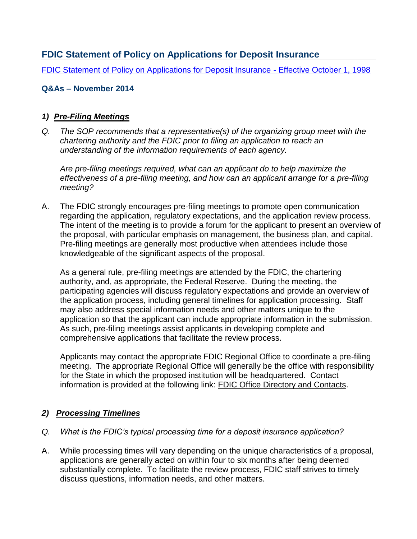# **FDIC Statement of Policy on Applications for Deposit Insurance**

[FDIC Statement of Policy on Applications for Deposit Insurance -](http://www.fdic.gov/regulations/laws/rules/5000-3000.html) Effective October 1, 1998

### **Q&As – November 2014**

#### *1) Pre-Filing Meetings*

*Q. The SOP recommends that a representative(s) of the organizing group meet with the chartering authority and the FDIC prior to filing an application to reach an understanding of the information requirements of each agency.* 

*Are pre-filing meetings required, what can an applicant do to help maximize the effectiveness of a pre-filing meeting, and how can an applicant arrange for a pre-filing meeting?*

A. The FDIC strongly encourages pre-filing meetings to promote open communication regarding the application, regulatory expectations, and the application review process. The intent of the meeting is to provide a forum for the applicant to present an overview of the proposal, with particular emphasis on management, the business plan, and capital. Pre-filing meetings are generally most productive when attendees include those knowledgeable of the significant aspects of the proposal.

As a general rule, pre-filing meetings are attended by the FDIC, the chartering authority, and, as appropriate, the Federal Reserve. During the meeting, the participating agencies will discuss regulatory expectations and provide an overview of the application process, including general timelines for application processing. Staff may also address special information needs and other matters unique to the application so that the applicant can include appropriate information in the submission. As such, pre-filing meetings assist applicants in developing complete and comprehensive applications that facilitate the review process.

Applicants may contact the appropriate FDIC Regional Office to coordinate a pre-filing meeting. The appropriate Regional Office will generally be the office with responsibility for the State in which the proposed institution will be headquartered. Contact information is provided at the following link: [FDIC Office Directory and Contacts.](http://www.fdic.gov/about/contact/directory/#Field_Offices)

#### *2) Processing Timelines*

#### *Q. What is the FDIC's typical processing time for a deposit insurance application?*

A. While processing times will vary depending on the unique characteristics of a proposal, applications are generally acted on within four to six months after being deemed substantially complete. To facilitate the review process, FDIC staff strives to timely discuss questions, information needs, and other matters.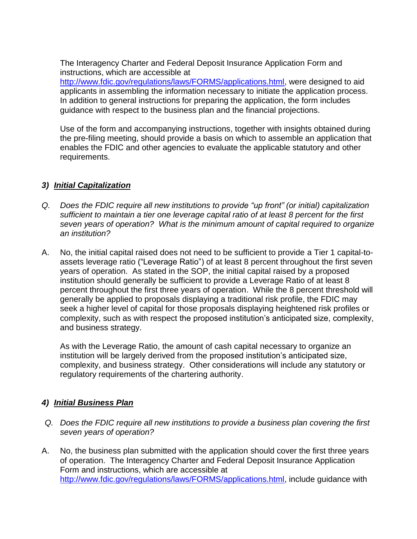The Interagency Charter and Federal Deposit Insurance Application Form and instructions, which are accessible at

[http://www.fdic.gov/regulations/laws/FORMS/applications.html,](http://www.fdic.gov/regulations/laws/FORMS/applications.html) were designed to aid applicants in assembling the information necessary to initiate the application process. In addition to general instructions for preparing the application, the form includes guidance with respect to the business plan and the financial projections.

Use of the form and accompanying instructions, together with insights obtained during the pre-filing meeting, should provide a basis on which to assemble an application that enables the FDIC and other agencies to evaluate the applicable statutory and other requirements.

### *3) Initial Capitalization*

- *Q. Does the FDIC require all new institutions to provide "up front" (or initial) capitalization sufficient to maintain a tier one leverage capital ratio of at least 8 percent for the first seven years of operation? What is the minimum amount of capital required to organize an institution?*
- A. No, the initial capital raised does not need to be sufficient to provide a Tier 1 capital-toassets leverage ratio ("Leverage Ratio") of at least 8 percent throughout the first seven years of operation. As stated in the SOP, the initial capital raised by a proposed institution should generally be sufficient to provide a Leverage Ratio of at least 8 percent throughout the first three years of operation. While the 8 percent threshold will generally be applied to proposals displaying a traditional risk profile, the FDIC may seek a higher level of capital for those proposals displaying heightened risk profiles or complexity, such as with respect the proposed institution's anticipated size, complexity, and business strategy.

As with the Leverage Ratio, the amount of cash capital necessary to organize an institution will be largely derived from the proposed institution's anticipated size, complexity, and business strategy. Other considerations will include any statutory or regulatory requirements of the chartering authority.

## *4) Initial Business Plan*

- *Q. Does the FDIC require all new institutions to provide a business plan covering the first seven years of operation?*
- A. No, the business plan submitted with the application should cover the first three years of operation. The Interagency Charter and Federal Deposit Insurance Application Form and instructions, which are accessible at [http://www.fdic.gov/regulations/laws/FORMS/applications.html,](http://www.fdic.gov/regulations/laws/FORMS/applications.html) include guidance with